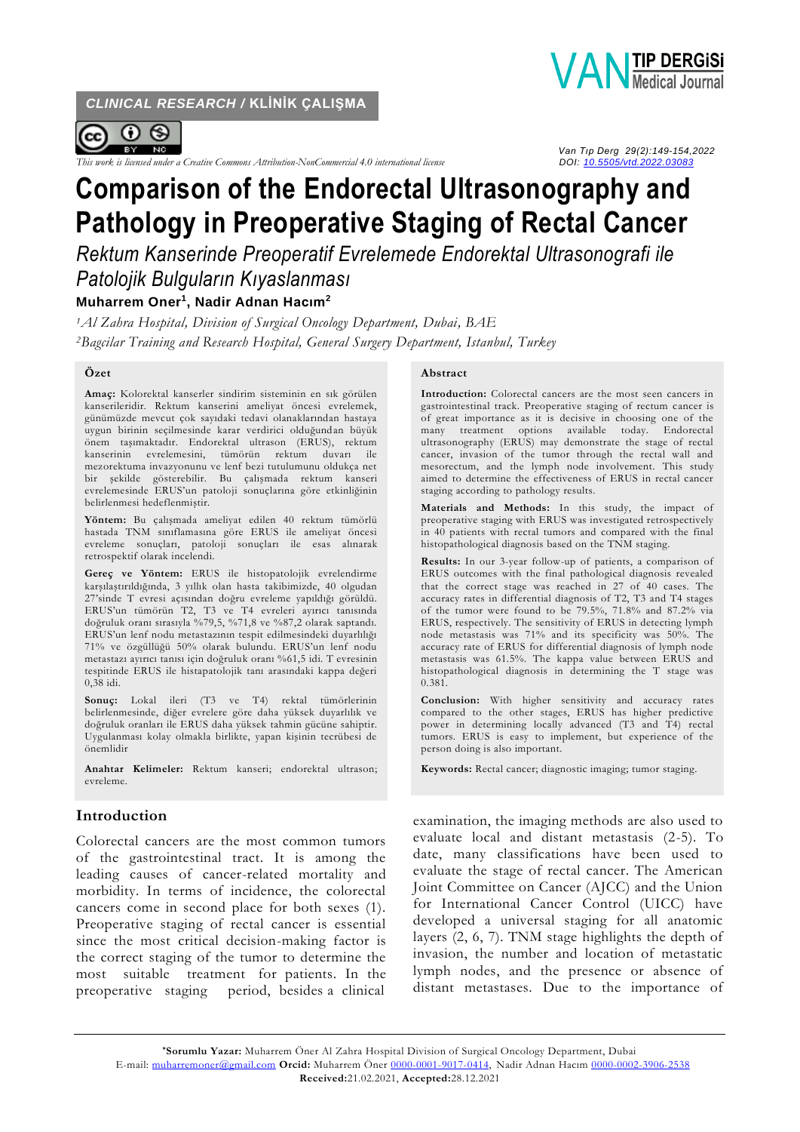*CLINICAL RESEARCH /* **KLİNİK ÇALIŞMA**



**VANTIP DERGISI** 

*This work is licensed under a Creative Commons Attribution-NonCommercial* 4.0 *international license* 

 *Van Tıp Derg 29(2):149-154,2022*

# **Comparison of the Endorectal Ultrasonography and Pathology in Preoperative Staging of Rectal Cancer**

*Rektum Kanserinde Preoperatif Evrelemede Endorektal Ultrasonografi ile Patolojik Bulguların Kıyaslanması*

## **Muharrem Oner<sup>1</sup> , Nadir Adnan Hacım<sup>2</sup>**

*<sup>1</sup>Al Zahra Hospital, Division of Surgical Oncology Department, Dubai, BAE <sup>2</sup>Bagcilar Training and Research Hospital, General Surgery Department, Istanbul, Turkey*

#### **Özet**

**Amaç:** Kolorektal kanserler sindirim sisteminin en sık görülen kanserileridir. Rektum kanserini ameliyat öncesi evrelemek, günümüzde mevcut çok sayıdaki tedavi olanaklarından hastaya uygun birinin seçilmesinde karar verdirici olduğundan büyük önem taşımaktadır. Endorektal ultrason (ERUS), rektum kanserinin evrelemesini, tümörün rektum duvarı ile mezorektuma invazyonunu ve lenf bezi tutulumunu oldukça net bir şekilde gösterebilir. Bu çalışmada rektum kanseri evrelemesinde ERUS'un patoloji sonuçlarına göre etkinliğinin belirlenmesi hedeflenmiştir.

**Yöntem:** Bu çalışmada ameliyat edilen 40 rektum tümörlü hastada TNM sınıflamasına göre ERUS ile ameliyat öncesi evreleme sonuçları, patoloji sonuçları ile esas alınarak retrospektif olarak incelendi.

**Gereç ve Yöntem:** ERUS ile histopatolojik evrelendirme karşılaştırıldığında, 3 yıllık olan hasta takibimizde, 40 olgudan 27'sinde T evresi açısından doğru evreleme yapıldığı görüldü. ERUS'un tümörün T2, T3 ve T4 evreleri ayırıcı tanısında doğruluk oranı sırasıyla %79,5, %71,8 ve %87,2 olarak saptandı. ERUS'un lenf nodu metastazının tespit edilmesindeki duyarlılığı 71% ve özgüllüğü 50% olarak bulundu. ERUS'un lenf nodu metastazı ayırıcı tanısı için doğruluk oranı %61,5 idi. T evresinin tespitinde ERUS ile histapatolojik tanı arasındaki kappa değeri 0,38 idi.

**Sonuç:** Lokal ileri (T3 ve T4) rektal tümörlerinin belirlenmesinde, diğer evrelere göre daha yüksek duyarlılık ve doğruluk oranları ile ERUS daha yüksek tahmin gücüne sahiptir. Uygulanması kolay olmakla birlikte, yapan kişinin tecrübesi de önemlidir

**Anahtar Kelimeler:** Rektum kanseri; endorektal ultrason; evreleme.

## **Introduction**

Colorectal cancers are the most common tumors of the gastrointestinal tract. It is among the leading causes of cancer-related mortality and morbidity. In terms of incidence, the colorectal cancers come in second place for both sexes (1). Preoperative staging of rectal cancer is essential since the most critical decision-making factor is the correct staging of the tumor to determine the most suitable treatment for patients. In the preoperative staging period, besides a clinical

#### **Abstract**

**Introduction:** Colorectal cancers are the most seen cancers in gastrointestinal track. Preoperative staging of rectum cancer is of great importance as it is decisive in choosing one of the many treatment options available today. Endorectal ultrasonography (ERUS) may demonstrate the stage of rectal cancer, invasion of the tumor through the rectal wall and mesorectum, and the lymph node involvement. This study aimed to determine the effectiveness of ERUS in rectal cancer staging according to pathology results.

**Materials and Methods:** In this study, the impact of preoperative staging with ERUS was investigated retrospectively in 40 patients with rectal tumors and compared with the final histopathological diagnosis based on the TNM staging.

**Results:** In our 3-year follow-up of patients, a comparison of ERUS outcomes with the final pathological diagnosis revealed that the correct stage was reached in 27 of 40 cases. The accuracy rates in differential diagnosis of T2, T3 and T4 stages of the tumor were found to be 79.5%, 71.8% and 87.2% via ERUS, respectively. The sensitivity of ERUS in detecting lymph node metastasis was 71% and its specificity was 50%. The accuracy rate of ERUS for differential diagnosis of lymph node metastasis was 61.5%. The kappa value between ERUS and histopathological diagnosis in determining the T stage was 0.381.

**Conclusion:** With higher sensitivity and accuracy rates compared to the other stages, ERUS has higher predictive power in determining locally advanced (T3 and T4) rectal tumors. ERUS is easy to implement, but experience of the person doing is also important.

**Keywords:** Rectal cancer; diagnostic imaging; tumor staging.

examination, the imaging methods are also used to evaluate local and distant metastasis (2-5). To date, many classifications have been used to evaluate the stage of rectal cancer. The American Joint Committee on Cancer (AJCC) and the Union for International Cancer Control (UICC) have developed a universal staging for all anatomic layers (2, 6, 7). TNM stage highlights the depth of invasion, the number and location of metastatic lymph nodes, and the presence or absence of distant metastases. Due to the importance of

**\*Sorumlu Yazar:** Muharrem Öner Al Zahra Hospital Division of Surgical Oncology Department, Dubai E-mail: [muharremoner@gmail.com](mailto:muharremoner@gmail.com) **Orcid:** Muharrem Öner [0000-0001-9017-0414,](https://orcid.org/0000-0001-9017-0414) Nadir Adnan Hacım [0000-0002-3906-2538](https://orcid.org/0000-0002-3906-2538) **Received:**21.02.2021, **Accepted:**28.12.2021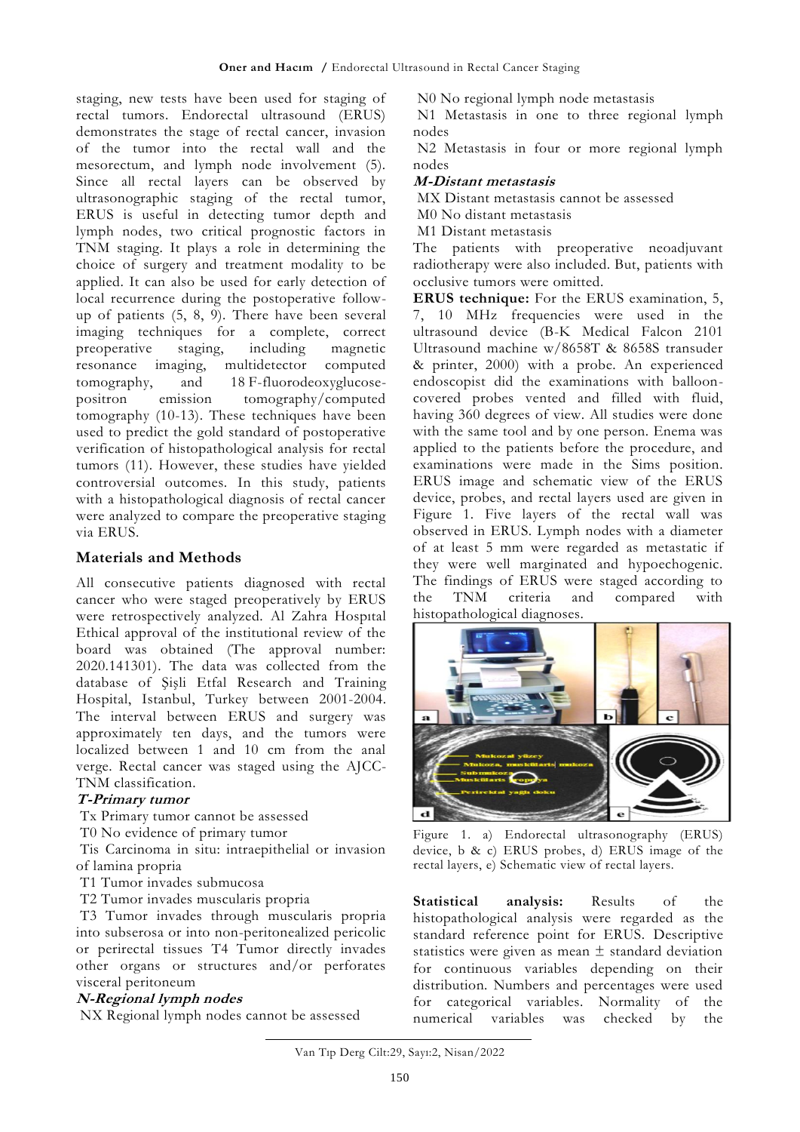staging, new tests have been used for staging of rectal tumors. Endorectal ultrasound (ERUS) demonstrates the stage of rectal cancer, invasion of the tumor into the rectal wall and the mesorectum, and lymph node involvement (5). Since all rectal layers can be observed by ultrasonographic staging of the rectal tumor, ERUS is useful in detecting tumor depth and lymph nodes, two critical prognostic factors in TNM staging. It plays a role in determining the choice of surgery and treatment modality to be applied. It can also be used for early detection of local recurrence during the postoperative followup of patients (5, 8, 9). There have been several imaging techniques for a complete, correct preoperative staging, including magnetic resonance imaging, multidetector computed tomography, and 18 F-fluorodeoxyglucosepositron emission tomography/computed tomography (10-13). These techniques have been used to predict the gold standard of postoperative verification of histopathological analysis for rectal tumors (11). However, these studies have yielded controversial outcomes. In this study, patients with a histopathological diagnosis of rectal cancer were analyzed to compare the preoperative staging via ERUS.

# **Materials and Methods**

All consecutive patients diagnosed with rectal cancer who were staged preoperatively by ERUS were retrospectively analyzed. Al Zahra Hospıtal Ethical approval of the institutional review of the board was obtained (The approval number: 2020.141301). The data was collected from the database of Şişli Etfal Research and Training Hospital, Istanbul, Turkey between 2001-2004. The interval between ERUS and surgery was approximately ten days, and the tumors were localized between 1 and 10 cm from the anal verge. Rectal cancer was staged using the AJCC-TNM classification.

## **T-Primary tumor**

Tx Primary tumor cannot be assessed

T0 No evidence of primary tumor

Tis Carcinoma in situ: intraepithelial or invasion of lamina propria

T1 Tumor invades submucosa

T2 Tumor invades muscularis propria

T3 Tumor invades through muscularis propria into subserosa or into non-peritonealized pericolic or perirectal tissues T4 Tumor directly invades other organs or structures and/or perforates visceral peritoneum

## **N-Regional lymph nodes**

NX Regional lymph nodes cannot be assessed

N0 No regional lymph node metastasis

N1 Metastasis in one to three regional lymph nodes

N2 Metastasis in four or more regional lymph nodes

### **M-Distant metastasis**

MX Distant metastasis cannot be assessed

M0 No distant metastasis

M1 Distant metastasis

The patients with preoperative neoadjuvant radiotherapy were also included. But, patients with occlusive tumors were omitted.

**ERUS technique:** For the ERUS examination, 5, 7, 10 MHz frequencies were used in the ultrasound device (B-K Medical Falcon 2101 Ultrasound machine w/8658T & 8658S transuder & printer, 2000) with a probe. An experienced endoscopist did the examinations with ballooncovered probes vented and filled with fluid, having 360 degrees of view. All studies were done with the same tool and by one person. Enema was applied to the patients before the procedure, and examinations were made in the Sims position. ERUS image and schematic view of the ERUS device, probes, and rectal layers used are given in Figure 1. Five layers of the rectal wall was observed in ERUS. Lymph nodes with a diameter of at least 5 mm were regarded as metastatic if they were well marginated and hypoechogenic. The findings of ERUS were staged according to the TNM criteria and compared with histopathological diagnoses.



Figure 1. a) Endorectal ultrasonography (ERUS) device, b & c) ERUS probes, d) ERUS image of the rectal layers, e) Schematic view of rectal layers.

**Statistical analysis:** Results of the histopathological analysis were regarded as the standard reference point for ERUS. Descriptive statistics were given as mean  $\pm$  standard deviation for continuous variables depending on their distribution. Numbers and percentages were used for categorical variables. Normality of the numerical variables was checked by the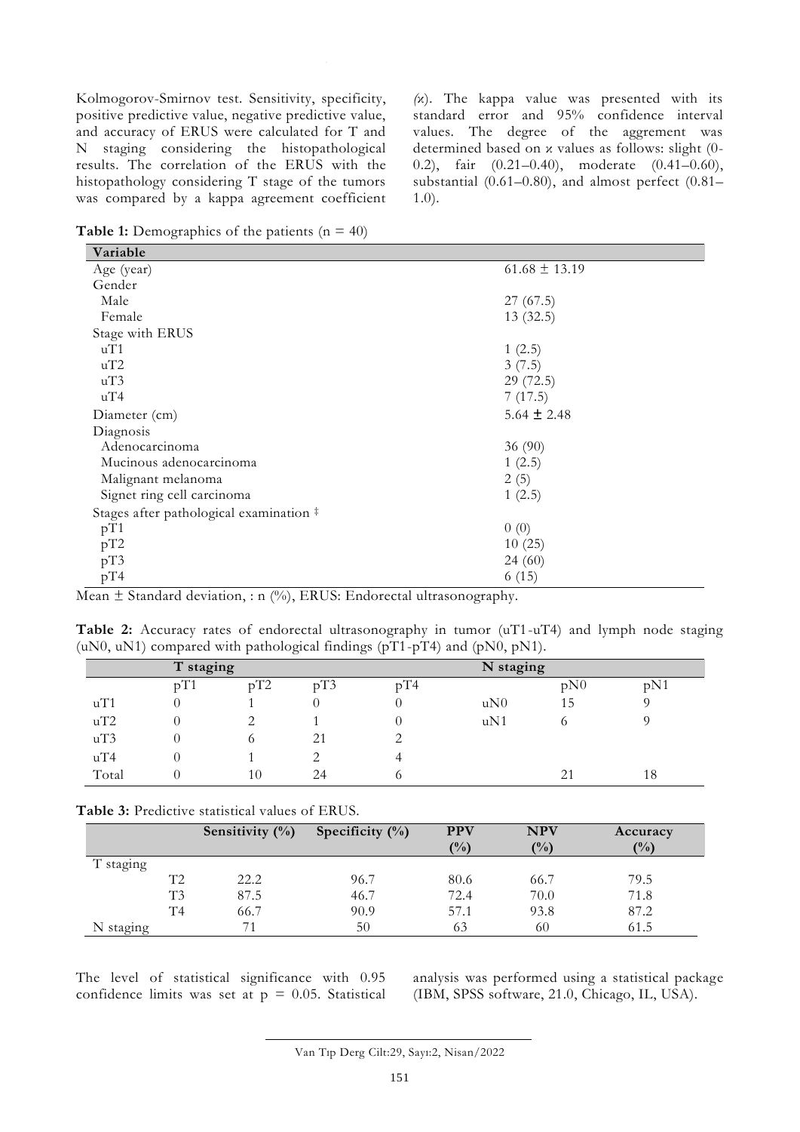Kolmogorov-Smirnov test. Sensitivity, specificity, positive predictive value, negative predictive value, and accuracy of ERUS were calculated for T and N staging considering the histopathological results. The correlation of the ERUS with the histopathology considering T stage of the tumors was compared by a kappa agreement coefficient *(*κ)*.* The kappa value was presented with its standard error and 95% confidence interval values. The degree of the aggrement was determined based on κ values as follows: slight (0- 0.2), fair (0.21–0.40), moderate (0.41–0.60), substantial (0.61–0.80), and almost perfect (0.81– 1.0).

**Table 1:** Demographics of the patients  $(n = 40)$ 

| Variable                                                           |                   |  |  |  |  |  |
|--------------------------------------------------------------------|-------------------|--|--|--|--|--|
| Age (year)                                                         | $61.68 \pm 13.19$ |  |  |  |  |  |
| Gender                                                             |                   |  |  |  |  |  |
| Male                                                               | 27(67.5)          |  |  |  |  |  |
| Female                                                             | 13(32.5)          |  |  |  |  |  |
| Stage with ERUS                                                    |                   |  |  |  |  |  |
| uT1                                                                | 1(2.5)            |  |  |  |  |  |
| uT2                                                                | 3(7.5)            |  |  |  |  |  |
| uT3                                                                | 29(72.5)          |  |  |  |  |  |
| uT4                                                                | 7(17.5)           |  |  |  |  |  |
| Diameter (cm)                                                      | $5.64 \pm 2.48$   |  |  |  |  |  |
| Diagnosis                                                          |                   |  |  |  |  |  |
| Adenocarcinoma                                                     | 36 (90)           |  |  |  |  |  |
| Mucinous adenocarcinoma                                            | 1(2.5)            |  |  |  |  |  |
| Malignant melanoma                                                 | 2(5)              |  |  |  |  |  |
| Signet ring cell carcinoma                                         | 1(2.5)            |  |  |  |  |  |
| Stages after pathological examination #                            |                   |  |  |  |  |  |
| pT1                                                                | 0(0)              |  |  |  |  |  |
| pT2                                                                | 10(25)            |  |  |  |  |  |
| pT3                                                                | 24(60)            |  |  |  |  |  |
| pT4<br>$(0, 1)$ and $\mathbf{v}$ and $\mathbf{v}$ and $\mathbf{v}$ | 6(15)             |  |  |  |  |  |

Mean  $\pm$  Standard deviation, : n (%), ERUS: Endorectal ultrasonography.

**Table 2:** Accuracy rates of endorectal ultrasonography in tumor (uT1-uT4) and lymph node staging (uN0, uN1) compared with pathological findings ( $pT1-pT4$ ) and ( $pN0$ ,  $pN1$ ).

|       | T staging |     |     |          | N staging |     |     |
|-------|-----------|-----|-----|----------|-----------|-----|-----|
|       | pT1       | pT2 | pT3 | pT4      |           | pN0 | pN1 |
| uT1   |           |     |     |          | uN0       | 15  |     |
| uT2   |           |     |     |          | uN1       |     |     |
| uT3   |           | O   | 21  |          |           |     |     |
| uT4   |           |     |     |          |           |     |     |
| Total |           | 10  | 24  | $\Omega$ |           |     | 18  |

#### **Table 3:** Predictive statistical values of ERUS.

|           |                | Sensitivity $(\%)$ | Specificity $(\%)$ | <b>PPV</b><br>(%) | <b>NPV</b><br>(%) | Accuracy<br>$($ %) |
|-----------|----------------|--------------------|--------------------|-------------------|-------------------|--------------------|
| T staging |                |                    |                    |                   |                   |                    |
|           | T2             | 22.2               | 96.7               | 80.6              | 66.7              | 79.5               |
|           | T <sub>3</sub> | 87.5               | 46.7               | 72.4              | 70.0              | 71.8               |
|           | T <sub>4</sub> | 66.7               | 90.9               | 57.1              | 93.8              | 87.2               |
| N staging |                |                    | 50                 | 63                | 60                | 61.5               |

The level of statistical significance with 0.95 confidence limits was set at  $p = 0.05$ . Statistical analysis was performed using a statistical package (IBM, SPSS software, 21.0, Chicago, IL, USA).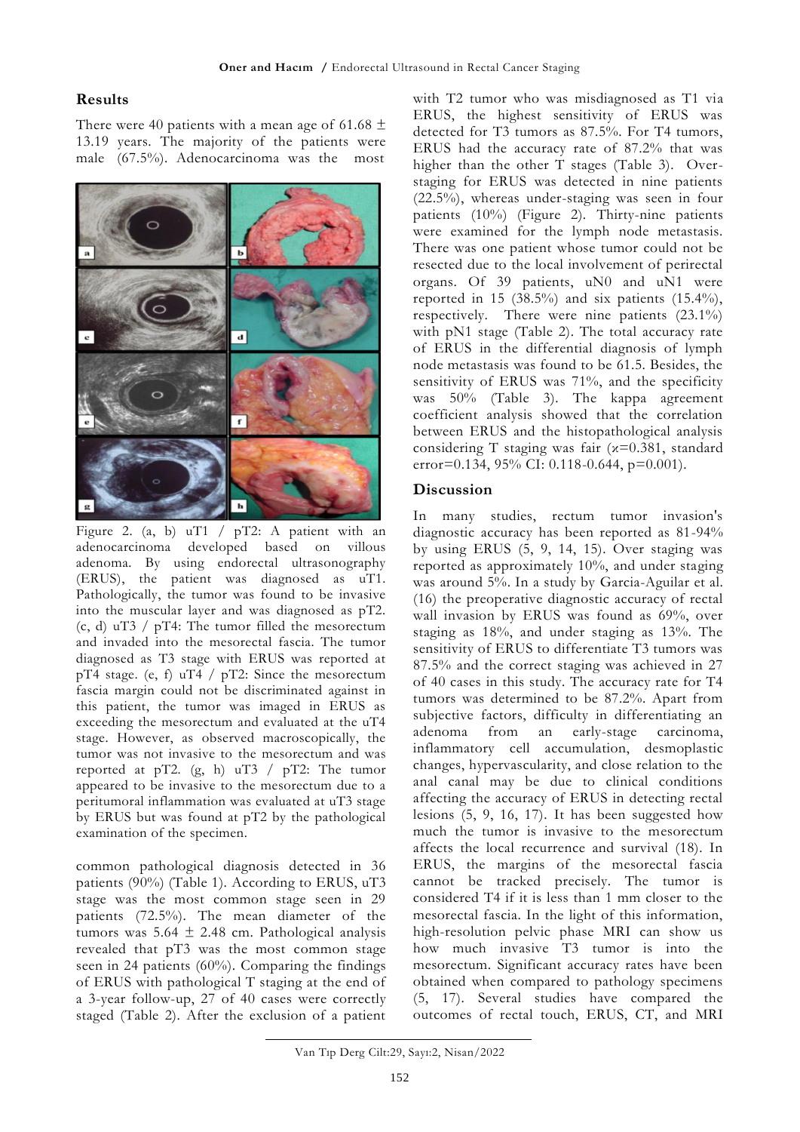#### **Results**

There were 40 patients with a mean age of 61.68  $\pm$ 13.19 years. The majority of the patients were male (67.5%). Adenocarcinoma was the most



Figure 2. (a, b) uT1 /  $pT2$ : A patient with an adenocarcinoma developed based on villous adenoma. By using endorectal ultrasonography (ERUS), the patient was diagnosed as uT1. Pathologically, the tumor was found to be invasive into the muscular layer and was diagnosed as pT2. (c, d) uT3 / pT4: The tumor filled the mesorectum and invaded into the mesorectal fascia. The tumor diagnosed as T3 stage with ERUS was reported at pT4 stage. (e, f) uT4  $/$  pT2: Since the mesorectum fascia margin could not be discriminated against in this patient, the tumor was imaged in ERUS as exceeding the mesorectum and evaluated at the uT4 stage. However, as observed macroscopically, the tumor was not invasive to the mesorectum and was reported at pT2.  $(g, h)$  uT3 / pT2: The tumor appeared to be invasive to the mesorectum due to a peritumoral inflammation was evaluated at uT3 stage by ERUS but was found at pT2 by the pathological examination of the specimen.

common pathological diagnosis detected in 36 patients (90%) (Table 1). According to ERUS, uT3 stage was the most common stage seen in 29 patients (72.5%). The mean diameter of the tumors was 5.64 ± 2.48 cm. Pathological analysis revealed that pT3 was the most common stage seen in 24 patients (60%). Comparing the findings of ERUS with pathological T staging at the end of a 3-year follow-up, 27 of 40 cases were correctly staged (Table 2). After the exclusion of a patient

with T2 tumor who was misdiagnosed as T1 via ERUS, the highest sensitivity of ERUS was detected for T3 tumors as 87.5%. For T4 tumors, ERUS had the accuracy rate of 87.2% that was higher than the other T stages (Table 3). Overstaging for ERUS was detected in nine patients (22.5%), whereas under-staging was seen in four patients (10%) (Figure 2). Thirty-nine patients were examined for the lymph node metastasis. There was one patient whose tumor could not be resected due to the local involvement of perirectal organs. Of 39 patients, uN0 and uN1 were reported in 15 (38.5%) and six patients (15.4%), respectively. There were nine patients (23.1%) with pN1 stage (Table 2). The total accuracy rate of ERUS in the differential diagnosis of lymph node metastasis was found to be 61.5. Besides, the sensitivity of ERUS was 71%, and the specificity was 50% (Table 3). The kappa agreement coefficient analysis showed that the correlation between ERUS and the histopathological analysis considering T staging was fair (κ=0.381, standard error=0.134, 95% CI: 0.118-0.644, p=0.001).

#### **Discussion**

In many studies, rectum tumor invasion's diagnostic accuracy has been reported as 81-94% by using ERUS (5, 9, 14, 15). Over staging was reported as approximately 10%, and under staging was around 5%. In a study by Garcia-Aguilar et al. (16) the preoperative diagnostic accuracy of rectal wall invasion by ERUS was found as 69%, over staging as 18%, and under staging as 13%. The sensitivity of ERUS to differentiate T3 tumors was 87.5% and the correct staging was achieved in 27 of 40 cases in this study. The accuracy rate for T4 tumors was determined to be 87.2%. Apart from subjective factors, difficulty in differentiating an adenoma from an early-stage carcinoma, inflammatory cell accumulation, desmoplastic changes, hypervascularity, and close relation to the anal canal may be due to clinical conditions affecting the accuracy of ERUS in detecting rectal lesions (5, 9, 16, 17). It has been suggested how much the tumor is invasive to the mesorectum affects the local recurrence and survival (18). In ERUS, the margins of the mesorectal fascia cannot be tracked precisely. The tumor is considered T4 if it is less than 1 mm closer to the mesorectal fascia. In the light of this information, high-resolution pelvic phase MRI can show us how much invasive T3 tumor is into the mesorectum. Significant accuracy rates have been obtained when compared to pathology specimens (5, 17). Several studies have compared the outcomes of rectal touch, ERUS, CT, and MRI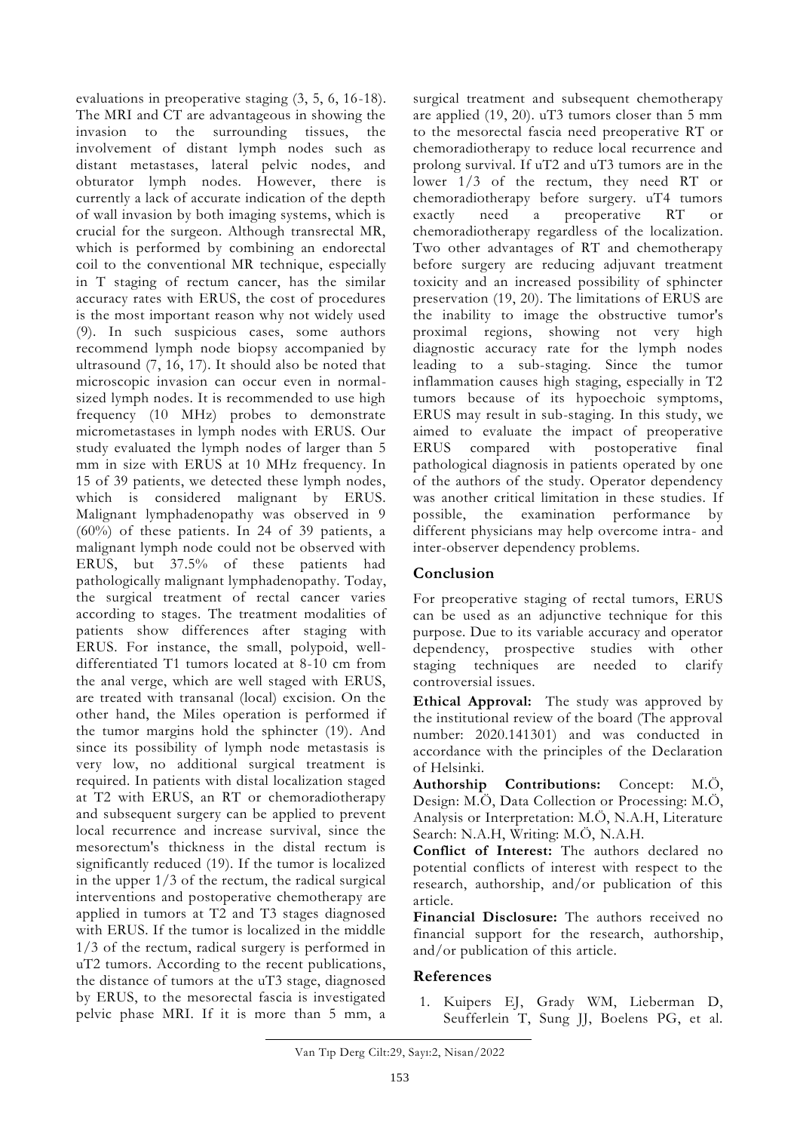evaluations in preoperative staging (3, 5, 6, 16-18). The MRI and CT are advantageous in showing the invasion to the surrounding tissues, the involvement of distant lymph nodes such as distant metastases, lateral pelvic nodes, and obturator lymph nodes. However, there is currently a lack of accurate indication of the depth of wall invasion by both imaging systems, which is crucial for the surgeon. Although transrectal MR, which is performed by combining an endorectal coil to the conventional MR technique, especially in T staging of rectum cancer, has the similar accuracy rates with ERUS, the cost of procedures is the most important reason why not widely used (9). In such suspicious cases, some authors recommend lymph node biopsy accompanied by ultrasound (7, 16, 17). It should also be noted that microscopic invasion can occur even in normalsized lymph nodes. It is recommended to use high frequency (10 MHz) probes to demonstrate micrometastases in lymph nodes with ERUS. Our study evaluated the lymph nodes of larger than 5 mm in size with ERUS at 10 MHz frequency. In 15 of 39 patients, we detected these lymph nodes, which is considered malignant by ERUS. Malignant lymphadenopathy was observed in 9 (60%) of these patients. In 24 of 39 patients, a malignant lymph node could not be observed with ERUS, but 37.5% of these patients had pathologically malignant lymphadenopathy. Today, the surgical treatment of rectal cancer varies according to stages. The treatment modalities of patients show differences after staging with ERUS. For instance, the small, polypoid, welldifferentiated T1 tumors located at 8-10 cm from the anal verge, which are well staged with ERUS, are treated with transanal (local) excision. On the other hand, the Miles operation is performed if the tumor margins hold the sphincter (19). And since its possibility of lymph node metastasis is very low, no additional surgical treatment is required. In patients with distal localization staged at T2 with ERUS, an RT or chemoradiotherapy and subsequent surgery can be applied to prevent local recurrence and increase survival, since the mesorectum's thickness in the distal rectum is significantly reduced (19). If the tumor is localized in the upper 1/3 of the rectum, the radical surgical interventions and postoperative chemotherapy are applied in tumors at T2 and T3 stages diagnosed with ERUS. If the tumor is localized in the middle 1/3 of the rectum, radical surgery is performed in uT2 tumors. According to the recent publications, the distance of tumors at the uT3 stage, diagnosed by ERUS, to the mesorectal fascia is investigated pelvic phase MRI. If it is more than 5 mm, a

surgical treatment and subsequent chemotherapy are applied (19, 20). uT3 tumors closer than 5 mm to the mesorectal fascia need preoperative RT or chemoradiotherapy to reduce local recurrence and prolong survival. If uT2 and uT3 tumors are in the lower 1/3 of the rectum, they need RT or chemoradiotherapy before surgery. uT4 tumors exactly need a preoperative RT or chemoradiotherapy regardless of the localization. Two other advantages of RT and chemotherapy before surgery are reducing adjuvant treatment toxicity and an increased possibility of sphincter preservation (19, 20). The limitations of ERUS are the inability to image the obstructive tumor's proximal regions, showing not very high diagnostic accuracy rate for the lymph nodes leading to a sub-staging. Since the tumor inflammation causes high staging, especially in T2 tumors because of its hypoechoic symptoms, ERUS may result in sub-staging. In this study, we aimed to evaluate the impact of preoperative ERUS compared with postoperative final pathological diagnosis in patients operated by one of the authors of the study. Operator dependency was another critical limitation in these studies. If possible, the examination performance by different physicians may help overcome intra- and inter-observer dependency problems.

# **Conclusion**

For preoperative staging of rectal tumors, ERUS can be used as an adjunctive technique for this purpose. Due to its variable accuracy and operator dependency, prospective studies with other staging techniques are needed to clarify controversial issues.

**Ethical Approval:** The study was approved by the institutional review of the board (The approval number: 2020.141301) and was conducted in accordance with the principles of the Declaration of Helsinki.

**Authorship Contributions:** Concept: M.Ö, Design: M.Ö, Data Collection or Processing: M.Ö, Analysis or Interpretation: M.Ö, N.A.H, Literature Search: N.A.H, Writing: M.Ö, N.A.H.

**Conflict of Interest:** The authors declared no potential conflicts of interest with respect to the research, authorship, and/or publication of this article.

**Financial Disclosure:** The authors received no financial support for the research, authorship, and/or publication of this article.

## **References**

1. Kuipers EJ, Grady WM, Lieberman D, Seufferlein T, Sung JJ, Boelens PG, et al.